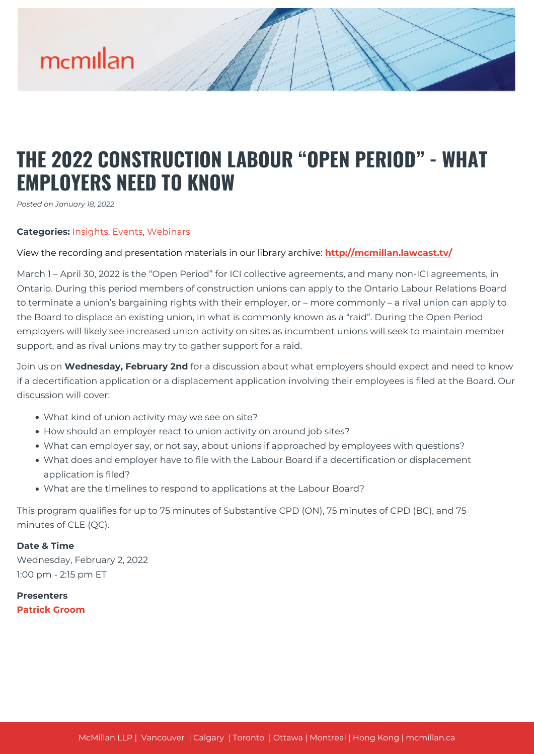

# **THE 2022 CONSTRUCTION LABOUR "OPEN PERIOD" - WHAT EMPLOYERS NEED TO KNOW**

*Posted on January 18, 2022*

### **Categories:** [Insights,](https://mcmillan.ca/insights/) [Events](https://mcmillan.ca/insights/events/), [Webinars](https://mcmillan.ca/insights/webinars/)

### View the recording and presentation materials in our library archive: **[http://mcmillan.lawcast.tv/](http://mcmillan.lawcast.tv/?page_id=7465)**

March 1 – April 30, 2022 is the "Open Period" for ICI collective agreements, and many non-ICI agreements, in Ontario. During this period members of construction unions can apply to the Ontario Labour Relations Board to terminate a union's bargaining rights with their employer, or – more commonly – a rival union can apply to the Board to displace an existing union, in what is commonly known as a "raid". During the Open Period employers will likely see increased union activity on sites as incumbent unions will seek to maintain member support, and as rival unions may try to gather support for a raid.

Join us on **Wednesday, February 2nd** for a discussion about what employers should expect and need to know if a decertification application or a displacement application involving their employees is filed at the Board. Our discussion will cover:

- What kind of union activity may we see on site?
- How should an employer react to union activity on around job sites?
- What can employer say, or not say, about unions if approached by employees with questions?
- What does and employer have to file with the Labour Board if a decertification or displacement application is filed?
- What are the timelines to respond to applications at the Labour Board?

This program qualifies for up to 75 minutes of Substantive CPD (ON), 75 minutes of CPD (BC), and 75 minutes of CLE (QC).

## **Date & Time**

Wednesday, February 2, 2022 1:00 pm - 2:15 pm ET

# **Presenters [Patrick Groom](https://mcmillan.ca/people/patrick-groom/)**